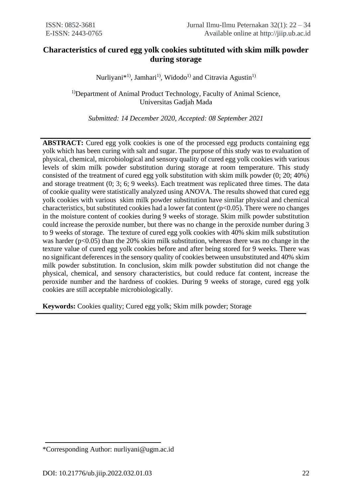# **Characteristics of cured egg yolk cookies subtituted with skim milk powder during storage**

Nurliyani\*<sup>1)</sup>, Jamhari<sup>1)</sup>, Widodo<sup>1)</sup> and Citravia Agustin<sup>1)</sup>

<sup>1)</sup>Department of Animal Product Technology, Faculty of Animal Science, Universitas Gadjah Mada

*Submitted: 14 December 2020, Accepted: 08 September 2021*

**ABSTRACT:** Cured egg yolk cookies is one of the processed egg products containing egg yolk which has been curing with salt and sugar. The purpose of this study was to evaluation of physical, chemical, microbiological and sensory quality of cured egg yolk cookies with various levels of skim milk powder substitution during storage at room temperature. This study consisted of the treatment of cured egg yolk substitution with skim milk powder (0; 20; 40%) and storage treatment (0; 3; 6; 9 weeks). Each treatment was replicated three times. The data of cookie quality were statistically analyzed using ANOVA. The results showed that cured egg yolk cookies with various skim milk powder substitution have similar physical and chemical characteristics, but substituted cookies had a lower fat content  $(p<0.05)$ . There were no changes in the moisture content of cookies during 9 weeks of storage. Skim milk powder substitution could increase the peroxide number, but there was no change in the peroxide number during 3 to 9 weeks of storage. The texture of cured egg yolk cookies with 40% skim milk substitution was harder ( $p<0.05$ ) than the 20% skim milk substitution, whereas there was no change in the texture value of cured egg yolk cookies before and after being stored for 9 weeks. There was no significant deferences in the sensory quality of cookies between unsubstituted and 40% skim milk powder substitution. In conclusion, skim milk powder substitution did not change the physical, chemical, and sensory characteristics, but could reduce fat content, increase the peroxide number and the hardness of cookies. During 9 weeks of storage, cured egg yolk cookies are still acceptable microbiologically.

**Keywords:** Cookies quality; Cured egg yolk; Skim milk powder; Storage

<sup>\*</sup>Corresponding Author: nurliyani@ugm.ac.id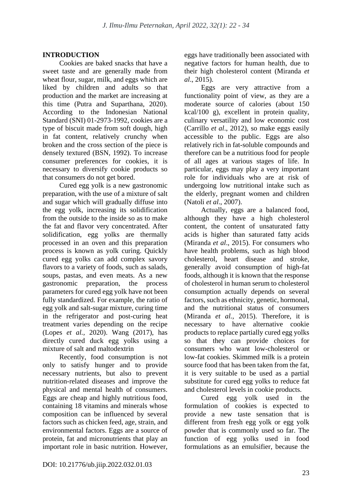## **INTRODUCTION**

Cookies are baked snacks that have a sweet taste and are generally made from wheat flour, sugar, milk, and eggs which are liked by children and adults so that production and the market are increasing at this time (Putra and Suparthana, 2020). According to the Indonesian National Standard (SNI) 01-2973-1992, cookies are a type of biscuit made from soft dough, high in fat content, relatively crunchy when broken and the cross section of the piece is densely textured (BSN, 1992). To increase consumer preferences for cookies, it is necessary to diversify cookie products so that consumers do not get bored.

Cured egg yolk is a new gastronomic preparation, with the use of a mixture of salt and sugar which will gradually diffuse into the egg yolk, increasing its solidification from the outside to the inside so as to make the fat and flavor very concentrated. After solidification, egg yolks are thermally processed in an oven and this preparation process is known as yolk curing. Quickly cured egg yolks can add complex savory flavors to a variety of foods, such as salads, soups, pastas, and even meats. As a new gastronomic preparation, the process parameters for cured egg yolk have not been fully standardized. For example, the ratio of egg yolk and salt-sugar mixture, curing time in the refrigerator and post-curing heat treatment varies depending on the recipe (Lopes *et al.,* 2020). Wang (2017), has directly cured duck egg yolks using a mixture of salt and maltodextrin

Recently, food consumption is not only to satisfy hunger and to provide necessary nutrients, but also to prevent nutrition-related diseases and improve the physical and mental health of consumers. Eggs are cheap and highly nutritious food, containing 18 vitamins and minerals whose composition can be influenced by several factors such as chicken feed, age, strain, and environmental factors. Eggs are a source of protein, fat and micronutrients that play an important role in basic nutrition. However,

eggs have traditionally been associated with negative factors for human health, due to their high cholesterol content (Miranda *et al*., 2015).

Eggs are very attractive from a functionality point of view, as they are a moderate source of calories (about 150 kcal/100 g), excellent in protein quality, culinary versatility and low economic cost (Carrillo *et al*., 2012), so make eggs easily accessible to the public. Eggs are also relatively rich in fat-soluble compounds and therefore can be a nutritious food for people of all ages at various stages of life. In particular, eggs may play a very important role for individuals who are at risk of undergoing low nutritional intake such as the elderly, pregnant women and children (Natoli *et al*., 2007).

Actually, eggs are a balanced food, although they have a high cholesterol content, the content of unsaturated fatty acids is higher than saturated fatty acids (Miranda *et al*., 2015). For consumers who have health problems, such as high blood cholesterol, heart disease and stroke, generally avoid consumption of high-fat foods, although it is known that the response of cholesterol in human serum to cholesterol consumption actually depends on several factors, such as ethnicity, genetic, hormonal, and the nutritional status of consumers (Miranda *et al.,* 2015). Therefore, it is necessary to have alternative cookie products to replace partially cured egg yolks so that they can provide choices for consumers who want low-cholesterol or low-fat cookies. Skimmed milk is a protein source food that has been taken from the fat, it is very suitable to be used as a partial substitute for cured egg yolks to reduce fat and cholesterol levels in cookie products.

Cured egg yolk used in the formulation of cookies is expected to provide a new taste sensation that is different from fresh egg yolk or egg yolk powder that is commonly used so far. The function of egg yolks used in food formulations as an emulsifier, because the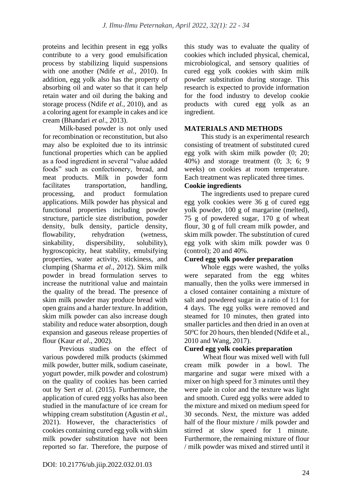proteins and lecithin present in egg yolks contribute to a very good emulsification process by stabilizing liquid suspensions with one another (Ndife *et al.,* 2010). In addition, egg yolk also has the property of absorbing oil and water so that it can help retain water and oil during the baking and storage process (Ndife *et al.,* 2010), and as a coloring agent for example in cakes and ice cream (Bhandari *et al*., 2013).

Milk-based powder is not only used for recombination or reconstitution, but also may also be exploited due to its intrinsic functional properties which can be applied as a food ingredient in several "value added foods" such as confectionery, bread, and meat products. Milk in powder form facilitates transportation, handling, processing, and product formulation applications. Milk powder has physical and functional properties including powder structure, particle size distribution, powder density, bulk density, particle density, flowability, rehydration (wetness, sinkability, dispersibility, solubility), hygroscopicity, heat stability, emulsifying properties, water activity, stickiness, and clumping (Sharma *et al*., 2012). Skim milk powder in bread formulation serves to increase the nutritional value and maintain the quality of the bread. The presence of skim milk powder may produce bread with open grains and a harder texture. In addition, skim milk powder can also increase dough stability and reduce water absorption, dough expansion and gaseous release properties of flour (Kaur *et al*., 2002).

Previous studies on the effect of various powdered milk products (skimmed milk powder, butter milk, sodium caseinate, yogurt powder, milk powder and colostrum) on the quality of cookies has been carried out by Sert *et al*. (2015). Furthermore, the application of cured egg yolks has also been studied in the manufacture of ice cream for whipping cream substitution (Agustin *et al.*, 2021). However, the characteristics of cookies containing cured egg yolk with skim milk powder substitution have not been reported so far. Therefore, the purpose of this study was to evaluate the quality of cookies which included physical, chemical, microbiological, and sensory qualities of cured egg yolk cookies with skim milk powder substitution during storage. This research is expected to provide information for the food industry to develop cookie products with cured egg yolk as an ingredient.

## **MATERIALS AND METHODS**

This study is an experimental research consisting of treatment of substituted cured egg yolk with skim milk powder (0; 20; 40%) and storage treatment (0; 3; 6; 9 weeks) on cookies at room temperature. Each treatment was replicated three times.

## **Cookie ingredients**

The ingredients used to prepare cured egg yolk cookies were 36 g of cured egg yolk powder, 100 g of margarine (melted), 75 g of powdered sugar, 170 g of wheat flour, 30 g of full cream milk powder, and skim milk powder. The substitution of cured egg yolk with skim milk powder was 0 (control); 20 and 40%.

## **Cured egg yolk powder preparation**

Whole eggs were washed, the yolks were separated from the egg whites manually, then the yolks were immersed in a closed container containing a mixture of salt and powdered sugar in a ratio of 1:1 for 4 days. The egg yolks were removed and steamed for 10 minutes, then grated into smaller particles and then dried in an oven at  $50^{\circ}$ C for 20 hours, then blended (Ndife et al., 2010 and Wang, 2017).

# **Cured egg yolk cookies preparation**

Wheat flour was mixed well with full cream milk powder in a bowl. The margarine and sugar were mixed with a mixer on high speed for 3 minutes until they were pale in color and the texture was light and smooth. Cured egg yolks were added to the mixture and mixed on medium speed for 30 seconds. Next, the mixture was added half of the flour mixture / milk powder and stirred at slow speed for 1 minute. Furthermore, the remaining mixture of flour / milk powder was mixed and stirred until it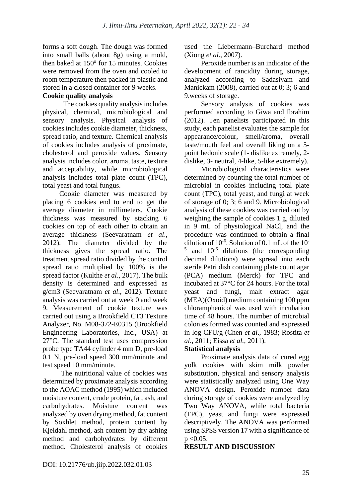forms a soft dough. The dough was formed into small balls (about 8g) using a mold, then baked at 150° for 15 minutes. Cookies were removed from the oven and cooled to room temperature then packed in plastic and stored in a closed container for 9 weeks.

## **Cookie quality analysis**

 The cookies quality analysis includes physical, chemical, microbiological and sensory analysis. Physical analysis of cookies includes cookie diameter, thickness, spread ratio, and texture. Chemical analysis of cookies includes analysis of proximate, cholesterol and peroxide values. Sensory analysis includes color, aroma, taste, texture and acceptability, while microbiological analysis includes total plate count (TPC), total yeast and total fungus.

Cookie diameter was measured by placing 6 cookies end to end to get the average diameter in millimeters. Cookie thickness was measured by stacking 6 cookies on top of each other to obtain an average thickness (Seevaratnam *et al*., 2012). The diameter divided by the thickness gives the spread ratio. The treatment spread ratio divided by the control spread ratio multiplied by 100% is the spread factor (Kulthe *et al*., 2017). The bulk density is determined and expressed as g/cm3 (Seevaratnam *et al*., 2012). Texture analysis was carried out at week 0 and week 9. Measurement of cookie texture was carried out using a Brookfield CT3 Texture Analyzer, No. M08-372-E0315 (Brookfield Engineering Laboratories, Inc., USA) at 27°C. The standard test uses compression probe type TA44 cylinder 4 mm D, pre-load 0.1 N, pre-load speed 300 mm/minute and test speed 10 mm/minute.

The nutritional value of cookies was determined by proximate analysis according to the AOAC method (1995) which included moisture content, crude protein, fat, ash, and carbohydrates. Moisture content was analyzed by oven drying method, fat content by Soxhlet method, protein content by Kjeldahl method, ash content by dry ashing method and carbohydrates by different method. Cholesterol analysis of cookies used the Liebermann–Burchard method (Xiong *et al*., 2007).

Peroxide number is an indicator of the development of rancidity during storage, analyzed according to Sadasivam and Manickam (2008), carried out at 0; 3; 6 and 9.weeks of storage.

Sensory analysis of cookies was performed according to Giwa and Ibrahim (2012). Ten panelists participated in this study, each panelist evaluates the sample for appearance/colour, smell/aroma, overall taste/mouth feel and overall liking on a 5 point hedonic scale (1- dislike extremely, 2 dislike, 3- neutral, 4-like, 5-like extremely).

Microbiological characteristics were determined by counting the total number of microbial in cookies including total plate count (TPC), total yeast, and fungi at week of storage of 0; 3; 6 and 9. Microbiological analysis of these cookies was carried out by weighing the sample of cookies 1 g, diluted in 9 mL of physiological NaCl, and the procedure was continued to obtain a final dilution of  $10^{-6}$ . Solution of 0.1 mL of the 10<sup>-6</sup> 5 and 10-6 dilutions (the corresponding decimal dilutions) were spread into each sterile Petri dish containing plate count agar (PCA) medium (Merck) for TPC and incubated at 37°C for 24 hours. For the total yeast and fungi, malt extract agar (MEA)(Oxoid) medium containing 100 ppm chloramphenicol was used with incubation time of 48 hours. The number of microbial colonies formed was counted and expressed in log CFU/g (Chen *et al*., 1983; Rostita *et al*., 2011; Eissa *et al.,* 2011).

## **Statistical analysis**

Proximate analysis data of cured egg yolk cookies with skim milk powder substitution, physical and sensory analysis were statistically analyzed using One Way ANOVA design. Peroxide number data during storage of cookies were analyzed by Two Way ANOVA, while total bacteria (TPC), yeast and fungi were expressed descriptively. The ANOVA was performed using SPSS version 17 with a significance of  $p < 0.05$ .

## **RESULT AND DISCUSSION**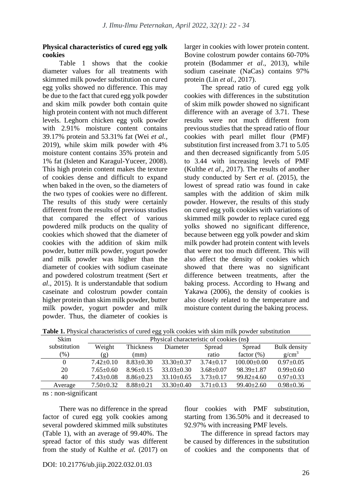#### **Physical characteristics of cured egg yolk cookies**

Table 1 shows that the cookie diameter values for all treatments with skimmed milk powder substitution on cured egg yolks showed no difference. This may be due to the fact that cured egg yolk powder and skim milk powder both contain quite high protein content with not much different levels. Leghorn chicken egg yolk powder with 2.91% moisture content contains 39.17% protein and 53.31% fat (Wei *et al.,* 2019), while skim milk powder with 4% moisture content contains 35% protein and 1% fat (Isleten and Karagul-Yuceer, 2008). This high protein content makes the texture of cookies dense and difficult to expand when baked in the oven, so the diameters of the two types of cookies were no different. The results of this study were certainly different from the results of previous studies that compared the effect of various powdered milk products on the quality of cookies which showed that the diameter of cookies with the addition of skim milk powder, butter milk powder, yogurt powder and milk powder was higher than the diameter of cookies with sodium caseinate and powdered colostrum treatment (Sert *et al*., 2015). It is understandable that sodium caseinate and colostrum powder contain higher protein than skim milk powder, butter milk powder, yogurt powder and milk powder. Thus, the diameter of cookies is larger in cookies with lower protein content. Bovine colostrum powder contains 60-70% protein (Bodammer *et al*., 2013), while sodium caseinate (NaCas) contains 97% protein (Lin *et al.,* 2017).

The spread ratio of cured egg yolk cookies with differences in the substitution of skim milk powder showed no significant difference with an average of 3.71. These results were not much different from previous studies that the spread ratio of flour cookies with pearl millet flour (PMF) substitution first increased from 3.71 to 5.05 and then decreased significantly from 5.05 to 3.44 with increasing levels of PMF (Kulthe *et al*., 2017). The results of another study conducted by Sert *et al.* (2015), the lowest of spread ratio was found in cake samples with the addition of skim milk powder. However, the results of this study on cured egg yolk cookies with variations of skimmed milk powder to replace cured egg yolks showed no significant difference, because between egg yolk powder and skim milk powder had protein content with levels that were not too much different. This will also affect the density of cookies which showed that there was no significant difference between treatments, after the baking process. According to Hwang and Yakawa (2006), the density of cookies is also closely related to the temperature and moisture content during the baking process.

| Skim         | Physical characteristic of cookies (ns) |                  |                  |                 |                  |                 |
|--------------|-----------------------------------------|------------------|------------------|-----------------|------------------|-----------------|
| substitution | Weight                                  | <b>Thickness</b> | Diameter         | Spread          | Spread           | Bulk density    |
| (9)          | (g)                                     | (mm)             |                  | ratio           | factor $(\%)$    | $g/cm^3$        |
|              | $7.42+0.10$                             | $8.83 + 0.30$    | $33.30 \pm 0.37$ | $3.74 \pm 0.17$ | $100.00\pm0.00$  | $0.97 \pm 0.05$ |
| 20           | $7.65 \pm 0.60$                         | $8.96 \pm 0.15$  | $33.03 \pm 0.30$ | $3.68 \pm 0.07$ | $98.39 \pm 1.87$ | $0.99 \pm 0.60$ |
| 40           | $7.43 \pm 0.08$                         | $8.86 \pm 0.23$  | $33.10 \pm 0.65$ | $3.73 \pm 0.17$ | $99.82{\pm}4.60$ | $0.97 \pm 0.33$ |
| Average      | $7.50 \pm 0.32$                         | $8.88 + 0.21$    | $33.30\pm0.40$   | $3.71 + 0.13$   | $99.40 \pm 2.60$ | $0.98 \pm 0.36$ |
|              |                                         |                  |                  |                 |                  |                 |

Table 1. Physical characteristics of cured egg yolk cookies with skim milk powder substitution

ns : non-significant

There was no difference in the spread factor of cured egg yolk cookies among several powdered skimmed milk substitutes (Table 1), with an average of 99.40%. The spread factor of this study was different from the study of Kulthe *et al.* (2017) on flour cookies with PMF substitution, starting from 136.50% and it decreased to 92.97% with increasing PMF levels.

The difference in spread factors may be caused by differences in the substitution of cookies and the components that of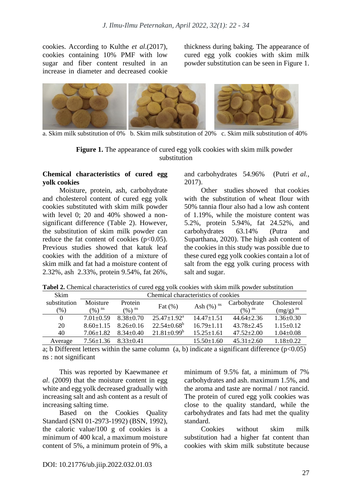cookies. According to Kulthe *et al*.(2017), cookies containing 10% PMF with low sugar and fiber content resulted in an increase in diameter and decreased cookie thickness during baking. The appearance of cured egg yolk cookies with skim milk powder substitution can be seen in Figure 1.



a. Skim milk substitution of 0% b. Skim milk substitution of 20% c. Skim milk substitution of 40%

#### **Figure 1.** The appearance of cured egg yolk cookies with skim milk powder substitution

#### **Chemical characteristics of cured egg yolk cookies**

Moisture, protein, ash, carbohydrate and cholesterol content of cured egg yolk cookies substituted with skim milk powder with level 0: 20 and 40% showed a nonsignificant difference (Table 2). However, the substitution of skim milk powder can reduce the fat content of cookies  $(p<0.05)$ . Previous studies showed that katuk leaf cookies with the addition of a mixture of skim milk and fat had a moisture content of 2.32%, ash 2.33%, protein 9.54%, fat 26%, and carbohydrates 54.96% (Putri *et al.,* 2017).

Other studies showed that cookies with the substitution of wheat flour with 50% tannia flour also had a low ash content of 1.19%, while the moisture content was 5.2%, protein 5.94%, fat 24.52%, and carbohydrates 63.14% (Putra and Suparthana, 2020). The high ash content of the cookies in this study was possible due to these cured egg yolk cookies contain a lot of salt from the egg yolk curing process with salt and sugar.

| <b>Table 4.</b> Chemical enargeteristics of earch egg your cookies with skill films powder substitution |                                     |                                 |                           |                         |                             |                              |
|---------------------------------------------------------------------------------------------------------|-------------------------------------|---------------------------------|---------------------------|-------------------------|-----------------------------|------------------------------|
| <b>Skim</b>                                                                                             | Chemical characteristics of cookies |                                 |                           |                         |                             |                              |
| substitution<br>(% )                                                                                    | Moisture<br>$(%)$ <sup>ns</sup>     | Protein<br>$(\%)$ <sup>ns</sup> | Fat $(\%)$                | Ash $(%)$ <sup>ns</sup> | Carbohydrate<br>$(96)^{ns}$ | Cholesterol<br>$(mg/g)^{ns}$ |
|                                                                                                         | $7.01 + 0.59$                       | 8.38+0.70                       | $25.47+1.92^{\mathrm{a}}$ | $14.47 + 1.51$          | $44.64 + 2.36$              | $1.36 + 0.30$                |
| 20                                                                                                      | $8.60 + 1.15$                       | $8.26 + 0.16$                   | $22.54 \pm 0.68^{\circ}$  | $16.79 + 1.11$          | $43.78 + 2.45$              | $1.15 + 0.12$                |

**Tabel 2.** Chemical characteristics of cured egg yolk cookies with skim milk powder substitution

a; b Different letters within the same column  $(a, b)$  indicate a significant difference  $(p<0.05)$ ns : not significant

Average  $7.56\pm1.36$   $8.33\pm0.41$  15.50 $\pm1.60$   $45.31\pm2.60$   $1.18\pm0.22$ 

This was reported by Kaewmanee *et al*. (2009) that the moisture content in egg white and egg yolk decreased gradually with increasing salt and ash content as a result of increasing salting time.

40 7.06±1.82 8.34±0.40 21.81±0.99<sup>b</sup>

Based on the Cookies Quality Standard (SNI 01-2973-1992) (BSN, 1992), the caloric value/100 g of cookies is a minimum of 400 kcal, a maximum moisture content of 5%, a minimum protein of 9%, a minimum of 9.5% fat, a minimum of 7% carbohydrates and ash. maximum 1.5%, and the aroma and taste are normal / not rancid. The protein of cured egg yolk cookies was close to the quality standard, while the carbohydrates and fats had met the quality standard.

15.25±1.61 47.52±2.00 1.04±0.08

Cookies without skim milk substitution had a higher fat content than cookies with skim milk substitute because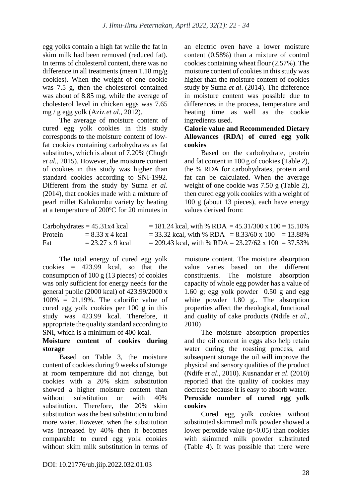egg yolks contain a high fat while the fat in skim milk had been removed (reduced fat). In terms of cholesterol content, there was no difference in all treatments (mean 1.18 mg/g cookies). When the weight of one cookie was 7.5 g, then the cholesterol contained was about of 8.85 mg, while the average of cholesterol level in chicken eggs was 7.65 mg / g egg yolk (Aziz *et al*., 2012).

The average of moisture content of cured egg yolk cookies in this study corresponds to the moisture content of lowfat cookies containing carbohydrates as fat substitutes, which is about of 7.20% (Chugh *et al.,* 2015). However, the moisture content of cookies in this study was higher than standard cookies according to SNI-1992. Different from the study by Suma *et al*. (2014), that cookies made with a mixture of pearl millet Kalukombu variety by heating at a temperature of 200ºC for 20 minutes in an electric oven have a lower moisture content (0.58%) than a mixture of control cookies containing wheat flour (2.57%). The moisture content of cookies in this study was higher than the moisture content of cookies study by Suma *et al*. (2014). The difference in moisture content was possible due to differences in the process, temperature and heating time as well as the cookie ingredients used.

### **Calorie value and Recommended Dietary Allowances (RDA**) **of cured egg yolk cookies**

Based on the carbohydrate, protein and fat content in 100 g of cookies (Table 2), the % RDA for carbohydrates, protein and fat can be calculated. When the average weight of one cookie was 7.50 g (Table 2). then cured egg yolk cookies with a weight of 100 g (about 13 pieces), each have energy values derived from:

|         | Carbohydrates $= 45.31x4$ kcal | $= 181.24$ kcal, with % RDA = 45.31/300 x 100 = 15.10%  |
|---------|--------------------------------|---------------------------------------------------------|
| Protein | $= 8.33 \times 4$ kcal         | $=$ 33.32 kcal, with % RDA $=$ 8.33/60 x 100 $=$ 13.88% |
| Fat     | $= 23.27 \times 9$ kcal        | $=$ 209.43 kcal, with % RDA = 23.27/62 x 100 = 37.53%   |

The total energy of cured egg yolk cookies = 423.99 kcal, so that the consumption of 100 g (13 pieces) of cookies was only sufficient for energy needs for the general public (2000 kcal) of 423.99/2000 x  $100\% = 21.19\%$ . The calorific value of cured egg yolk cookies per 100 g in this study was 423.99 kcal. Therefore, it appropriate the quality standard according to SNI, which is a minimum of 400 kcal.

## **Moisture content of cookies during storage**

Based on Table 3, the moisture content of cookies during 9 weeks of storage at room temperature did not change, but cookies with a 20% skim substitution showed a higher moisture content than without substitution or with 40% substitution. Therefore, the 20% skim substitution was the best substitution to bind more water. However, when the substitution was increased by 40% then it becomes comparable to cured egg yolk cookies without skim milk substitution in terms of moisture content. The moisture absorption value varies based on the different constituents. The moisture absorption capacity of whole egg powder has a value of 1.60 g; egg yolk powder 0.50 g and egg white powder 1.80 g.. The absorption properties affect the rheological, functional and quality of cake products (Ndife *et al*., 2010)

The moisture absorption properties and the oil content in eggs also help retain water during the roasting process, and subsequent storage the oil will improve the physical and sensory qualities of the product (Ndife *et al*., 2010). Kusnandar *et al*. (2010) reported that the quality of cookies may decrease because it is easy to absorb water.

### **Peroxide number of cured egg yolk cookies**

Cured egg yolk cookies without substituted skimmed milk powder showed a lower peroxide value  $(p<0.05)$  than cookies with skimmed milk powder substituted (Table 4). It was possible that there were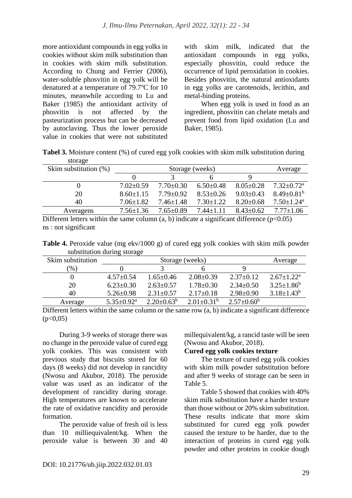more antioxidant compounds in egg yolks in cookies without skim milk substitution than in cookies with skim milk substitution. According to Chung and Ferrier (2006), water-soluble phosvitin in egg yolk will be denatured at a temperature of  $79.7^{\circ}$ C for 10 minutes, meanwhile according to Lu and Baker (1985) the antioxidant activity of phosvitin is not affected by the pasteurization process but can be decreased by autoclaving. Thus the lower peroxide value in cookies that were not substituted with skim milk, indicated that the antioxidant compounds in egg yolks, especially phosvitin, could reduce the occurrence of lipid peroxidation in cookies. Besides phosvitin, the natural antioxidants in egg yolks are carotenoids, lecithin, and metal-binding proteins.

When egg yolk is used in food as an ingredient, phosvitin can chelate metals and prevent food from lipid oxidation (Lu and Baker, 1985).

**Tabel 3.** Moisture content (%) of cured egg yolk cookies with skim milk substitution during storage

| Skim substitution $(\%)$ | Storage (weeks) |                 |                 |                 | Average                      |
|--------------------------|-----------------|-----------------|-----------------|-----------------|------------------------------|
|                          |                 |                 |                 |                 |                              |
|                          | $7.02 \pm 0.59$ | $7.70 \pm 0.30$ | $6.50\pm0.48$   | $8.05 \pm 0.28$ | $7.32 \pm 0.72^a$            |
| 20                       | $8.60 + 1.15$   | $7.79 \pm 0.92$ | $8.53 \pm 0.26$ | $9.03 \pm 0.43$ | $8.49 \pm 0.81^b$            |
| 40                       | $7.06 \pm 1.82$ | $7.46 \pm 1.48$ | $7.30 \pm 1.22$ | $8.20 \pm 0.68$ | $7.50 \pm 1.24$ <sup>a</sup> |
| Averagens                | $7.56 \pm 1.36$ | $7.65+0.89$     | $7.44 + 1.11$   | $8.43 + 0.62$   | $7.77+1.06$                  |
|                          |                 |                 |                 |                 |                              |

Different letters within the same column  $(a, b)$  indicate a significant difference  $(p<0.05)$ ns : not significant

**Table 4.** Peroxide value (mg ekv/1000 g) of cured egg yolk cookies with skim milk powder substitution during storage

| Skim substitution |                            | Storage (weeks)   |                   |                   |                   |  |
|-------------------|----------------------------|-------------------|-------------------|-------------------|-------------------|--|
| (% )              |                            |                   |                   |                   |                   |  |
|                   | $4.57+0.54$                | $1.65 \pm 0.46$   | $2.08 \pm 0.39$   | $2.37 \pm 0.12$   | $2.67 \pm 1.22^a$ |  |
| 20                | $6.23 \pm 0.30$            | $2.63 \pm 0.57$   | $1.78 \pm 0.30$   | $2.34 \pm 0.50$   | $3.25 \pm 1.86^b$ |  |
| 40                | $5.26 \pm 0.98$            | $2.31 \pm 0.57$   | $2.17\pm0.18$     | $2.98 \pm 0.90$   | $3.18 \pm 1.43^b$ |  |
| Average           | $5.35 \pm 0.92^{\text{a}}$ | $2.20 \pm 0.63^b$ | $2.01 \pm 0.31^b$ | $2.57 \pm 0.60^b$ |                   |  |

Different letters within the same column or the same row (a, b) indicate a significant difference  $(p<0.05)$ 

During 3-9 weeks of storage there was no change in the peroxide value of cured egg yolk cookies. This was consistent with previous study that biscuits stored for 60 days (8 weeks) did not develop in rancidity (Nwosu and Akubor, 2018). The peroxide value was used as an indicator of the development of rancidity during storage. High temperatures are known to accelerate the rate of oxidative rancidity and peroxide formation.

The peroxide value of fresh oil is less than 10 milliequivalent/kg. When the peroxide value is between 30 and 40 millequivalent/kg, a rancid taste will be seen (Nwosu and Akubor, 2018).

## **Cured egg yolk cookies texture**

The texture of cured egg yolk cookies with skim milk powder substitution before and after 9 weeks of storage can be seen in Table 5.

Table 5 showed that cookies with 40% skim milk substitution have a harder texture than those without or 20% skim substitution. These results indicate that more skim substituted for cured egg yolk powder caused the texture to be harder, due to the interaction of proteins in cured egg yolk powder and other proteins in cookie dough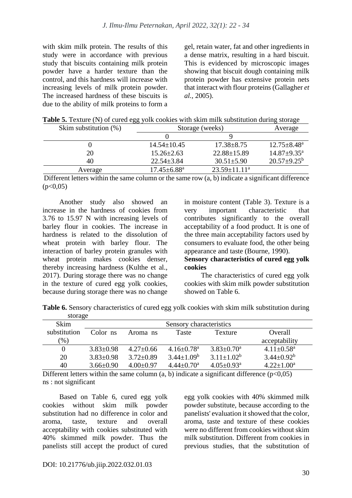with skim milk protein. The results of this study were in accordance with previous study that biscuits containing milk protein powder have a harder texture than the control, and this hardness will increase with increasing levels of milk protein powder. The increased hardness of these biscuits is due to the ability of milk proteins to form a gel, retain water, fat and other ingredients in a dense matrix, resulting in a hard biscuit. This is evidenced by microscopic images showing that biscuit dough containing milk protein powder has extensive protein nets that interact with flour proteins (Gallagher *et al.,* 2005).

**Table 5.** Texture (N) of cured egg yolk cookies with skim milk substitution during storage

| Skim substitution $(\%)$ | Storage (weeks)             | Average           |                             |
|--------------------------|-----------------------------|-------------------|-----------------------------|
|                          |                             |                   |                             |
|                          | $14.54 \pm 10.45$           | $17.38 \pm 8.75$  | $12.75 \pm 8.48^a$          |
| 20                       | $15.26 \pm 2.63$            | $22.88 \pm 15.89$ | $14.87 \pm 9.35^{\text{a}}$ |
| 40                       | $22.54 \pm 3.84$            | $30.51 \pm 5.90$  | $20.57 \pm 9.25^{\rm b}$    |
| Average                  | $17.45 \pm 6.88^{\text{a}}$ | $23.59 + 11.11^a$ |                             |

Different letters within the same column or the same row (a, b) indicate a significant difference  $(p<0.05)$ 

Another study also showed an increase in the hardness of cookies from 3.76 to 15.97 N with increasing levels of barley flour in cookies. The increase in hardness is related to the dissolution of wheat protein with barley flour. The interaction of barley protein granules with wheat protein makes cookies denser, thereby increasing hardness (Kulthe et al., 2017). During storage there was no change in the texture of cured egg yolk cookies, because during storage there was no change in moisture content (Table 3). Texture is a very important characteristic that contributes significantly to the overall acceptability of a food product. It is one of the three main acceptability factors used by consumers to evaluate food, the other being appearance and taste (Bourne, 1990).

## **Sensory characteristics of cured egg yolk cookies**

The characteristics of cured egg yolk cookies with skim milk powder substitution showed on Table 6.

**Table 6.** Sensory characteristics of cured egg yolk cookies with skim milk substitution during storage

| <b>Skim</b>  | Sensory characteristics |                 |                              |                              |                              |  |
|--------------|-------------------------|-----------------|------------------------------|------------------------------|------------------------------|--|
| substitution | Color ns                | Aroma ns        | <b>Taste</b>                 | Texture                      | Overall                      |  |
| $(\%)$       |                         |                 |                              |                              | acceptability                |  |
|              | $3.83 \pm 0.98$         | $4.27 \pm 0.66$ | $4.16 \pm 0.78$ <sup>a</sup> | $3.83 \pm 0.70$ <sup>a</sup> | $4.11 \pm 0.58$ <sup>a</sup> |  |
| 20           | $3.83 \pm 0.98$         | $3.72 \pm 0.89$ | $3.44 \pm 1.09^b$            | $3.11 \pm 1.02^b$            | $3.44 \pm 0.92^b$            |  |
| 40           | $3.66 \pm 0.90$         | $4.00 \pm 0.97$ | $4.44 \pm 0.70$ <sup>a</sup> | $4.05 \pm 0.93$ <sup>a</sup> | $4.22 \pm 1.00^a$            |  |

Different letters within the same column  $(a, b)$  indicate a significant difference  $(p<0.05)$ ns : not significant

Based on Table 6, cured egg yolk cookies without skim milk powder substitution had no difference in color and aroma, taste, texture and overall acceptability with cookies substituted with 40% skimmed milk powder. Thus the panelists still accept the product of cured egg yolk cookies with 40% skimmed milk powder substitute, because according to the panelists' evaluation it showed that the color, aroma, taste and texture of these cookies were no different from cookies without skim milk substitution. Different from cookies in previous studies, that the substitution of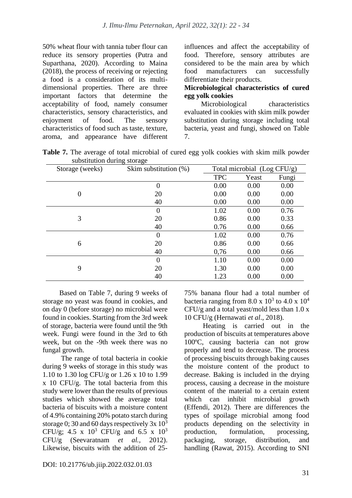50% wheat flour with tannia tuber flour can reduce its sensory properties (Putra and Suparthana, 2020). According to Maina (2018), the process of receiving or rejecting a food is a consideration of its multidimensional properties. There are three important factors that determine the acceptability of food, namely consumer characteristics, sensory characteristics, and enjoyment of food. The sensory characteristics of food such as taste, texture, aroma, and appearance have different influences and affect the acceptability of food. Therefore, sensory attributes are considered to be the main area by which food manufacturers can successfully differentiate their products.

## **Microbiological characteristics of cured egg yolk cookies**

Microbiological characteristics evaluated in cookies with skim milk powder substitution during storage including total bacteria, yeast and fungi, showed on Table 7.

| substitution during storage |                          |            |                             |       |  |
|-----------------------------|--------------------------|------------|-----------------------------|-------|--|
| Storage (weeks)             | Skim substitution $(\%)$ |            | Total microbial (Log CFU/g) |       |  |
|                             |                          | <b>TPC</b> | Yeast                       | Fungi |  |
|                             | $\overline{0}$           | 0.00       | 0.00                        | 0.00  |  |
| $\overline{0}$              | 20                       | 0.00       | 0.00                        | 0.00  |  |
|                             | 40                       | 0.00       | 0.00                        | 0.00  |  |
|                             | 0                        | 1.02       | 0.00                        | 0.76  |  |
| 3                           | 20                       | 0.86       | 0.00                        | 0.33  |  |
|                             | 40                       | 0.76       | 0.00                        | 0.66  |  |
|                             | $\overline{0}$           | 1.02       | 0.00                        | 0.76  |  |
| 6                           | 20                       | 0.86       | 0.00                        | 0.66  |  |
|                             | 40                       | 0,76       | 0.00                        | 0.66  |  |
|                             | $\overline{0}$           | 1.10       | 0.00                        | 0.00  |  |
| 9                           | 20                       | 1.30       | 0.00                        | 0.00  |  |
|                             | 40                       | 1.23       | 0.00                        | 0.00  |  |

**Table 7.** The average of total microbial of cured egg yolk cookies with skim milk powder substitution during storage

Based on Table 7, during 9 weeks of storage no yeast was found in cookies, and on day 0 (before storage) no microbial were found in cookies. Starting from the 3rd week of storage, bacteria were found until the 9th week. Fungi were found in the 3rd to 6th week, but on the -9th week there was no fungal growth.

The range of total bacteria in cookie during 9 weeks of storage in this study was 1.10 to 1.30 log CFU/g or 1.26 x 10 to 1.99 x 10 CFU/g. The total bacteria from this study were lower than the results of previous studies which showed the average total bacteria of biscuits with a moisture content of 4.9% containing 20% potato starch during storage 0; 30 and 60 days respectively  $3x 10^3$ CFU/g; 4.5 x  $10^3$  CFU/g and 6.5 x  $10^3$ CFU/g (Seevaratnam *et al.,* 2012). Likewise, biscuits with the addition of 2575% banana flour had a total number of bacteria ranging from  $8.0 \times 10^3$  to  $4.0 \times 10^4$  $CFU/g$  and a total yeast/mold less than 1.0 x 10 CFU/g (Hernawati *et al*., 2018).

Heating is carried out in the production of biscuits at temperatures above 100ºC, causing bacteria can not grow properly and tend to decrease. The process of processing biscuits through baking causes the moisture content of the product to decrease. Baking is included in the drying process, causing a decrease in the moisture content of the material to a certain extent which can inhibit microbial growth (Effendi, 2012). There are differences the types of spoilage microbial among food products depending on the selectivity in production, formulation, processing, packaging, storage, distribution, and handling (Rawat, 2015). According to SNI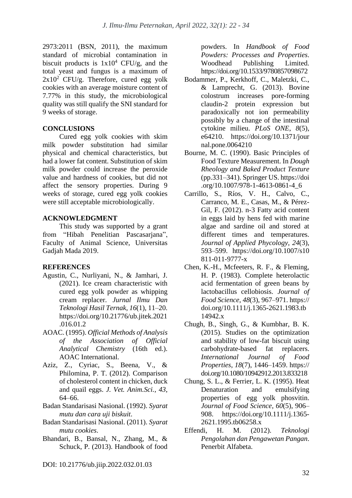2973:2011 (BSN, 2011), the maximum standard of microbial contamination in biscuit products is  $1x10^4$  CFU/g, and the total yeast and fungus is a maximum of  $2x10^2$  CFU/g. Therefore, cured egg yolk cookies with an average moisture content of 7.77% in this study, the microbiological quality was still qualify the SNI standard for 9 weeks of storage.

## **CONCLUSIONS**

Cured egg yolk cookies with skim milk powder substitution had similar physical and chemical characteristics, but had a lower fat content. Substitution of skim milk powder could increase the peroxide value and hardness of cookies, but did not affect the sensory properties. During 9 weeks of storage, cured egg yolk cookies were still acceptable microbiologically.

## **ACKNOWLEDGMENT**

This study was supported by a grant from "Hibah Penelitian Pascasarjana", Faculty of Animal Science, Universitas Gadjah Mada 2019.

## **REFERENCES**

- Agustin, C., Nurliyani, N., & Jamhari, J. (2021). Ice cream characteristic with cured egg yolk powder as whipping cream replacer. *Jurnal Ilmu Dan Teknologi Hasil Ternak*, *16*(1), 11–20. https://doi.org/10.21776/ub.jitek.2021 .016.01.2
- AOAC. (1995). *Official Methods of Analysis of the Association of Official Analytical Chemistry* (16th ed.). AOAC International.
- Aziz, Z., Cyriac, S., Beena, V., & Philomina, P. T. (2012). Comparison of cholesterol content in chicken, duck and quail eggs. *J. Vet. Anim.Sci.*, *43*, 64–66.
- Badan Standarisasi Nasional. (1992). *Syarat mutu dan cara uji biskuit*.
- Badan Standarisasi Nasional. (2011). *Syarat mutu cookies*.
- Bhandari, B., Bansal, N., Zhang, M., & Schuck, P. (2013). Handbook of food

powders. In *Handbook of Food Powders: Processes and Properties*. Woodhead Publishing Limited. https://doi.org/10.1533/9780857098672

- Bodammer, P., Kerkhoff, C., Maletzki, C., & Lamprecht, G. (2013). Bovine colostrum increases pore-forming claudin-2 protein expression but paradoxically not ion permeability possibly by a change of the intestinal cytokine milieu. *PLoS ONE*, *8*(5), e64210. https://doi.org/10.1371/jour nal.pone.0064210
- Bourne, M. C. (1990). Basic Principles of Food Texture Measurement. In *Dough Rheology and Baked Product Texture* (pp.331–341). Springer US. https://doi .org/10.1007/978-1-4613-0861-4\_6
- Carrillo, S., Ríos, V. H., Calvo, C., Carranco, M. E., Casas, M., & Pérez-Gil, F. (2012). n-3 Fatty acid content in eggs laid by hens fed with marine algae and sardine oil and stored at different times and temperatures. *Journal of Applied Phycology*, *24*(3), 593–599. https://doi.org/10.1007/s10 811-011-9777-x
- Chen, K.-H., Mcfeeters, R. F., & Fleming, H. P. (1983). Complete heterolactic acid fermentation of green beans by lactobacillus cellobiosis. *Journal of Food Science*, *48*(3), 967–971. https:// doi.org/10.1111/j.1365-2621.1983.tb 14942.x
- Chugh, B., Singh, G., & Kumbhar, B. K. (2015). Studies on the optimization and stability of low-fat biscuit using carbohydrate-based fat replacers. *International Journal of Food Properties*, *18*(7), 1446–1459. https:// doi.org/10.1080/10942912.2013.833218
- Chung, S. L., & Ferrier, L. K. (1995). Heat Denaturation and emulsifying properties of egg yolk phosvitin. *Journal of Food Science*, *60*(5), 906– 908. https://doi.org/10.1111/j.1365- 2621.1995.tb06258.x
- Effendi, H. M. (2012). *Teknologi Pengolahan dan Pengawetan Pangan*. Penerbit Alfabeta.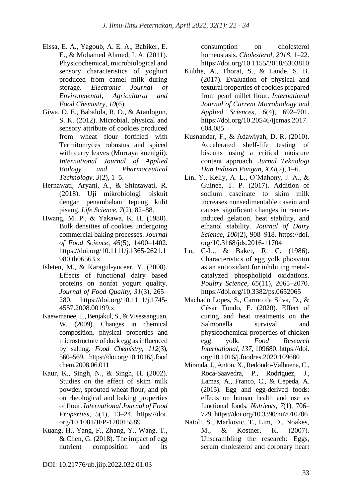- Eissa, E. A., Yagoub, A. E. A., Babiker, E. E., & Mohamed Ahmed, I. A. (2011). Physicochemical, microbiological and sensory characteristics of yoghurt produced from camel milk during storage. *Electronic Journal of Environmental, Agricultural and Food Chemistry*, *10*(6).
- Giwa, O. E., Babalola, R. O., & Atanlogun, S. K. (2012). Microbial, physical and sensory attribute of cookies produced from wheat flour fortified with Termitomyces robustus and spiced with curry leaves (Murraya koenigii). *International Journal of Applied Biology and Pharmaceutical Technology*, *3*(2), 1–5.
- Hernawati, Aryani, A., & Shintawati, R. (2018). Uji mikrobiologi biskuit dengan penambahan tepung kulit pisang. *Life Science*, *7*(2), 82–88.
- Hwang, M. P., & Yakawa, K. H. (1980). Bulk densities of cookies undergoing commercial baking processes. *Journal of Food Science*, *45*(5), 1400–1402. https://doi.org/10.1111/j.1365-2621.1 980.tb06563.x
- Isleten, M., & Karagul-yuceer, Y. (2008). Effects of functional dairy based proteins on nonfat yogurt quality. *Journal of Food Quality*, *31*(3), 265– 280. https://doi.org/10.1111/j.1745- 4557.2008.00199.x
- Kaewmanee, T., Benjakul, S., & Visessanguan, W. (2009). Changes in chemical composition, physical properties and microstructure of duck egg as influenced by salting. *Food Chemistry*, *112*(3), 560–569. https://doi.org/10.1016/j.food chem.2008.06.011
- Kaur, K., Singh, N., & Singh, H. (2002). Studies on the effect of skim milk powder, sprouted wheat flour, and ph on rheological and baking properties of flour. *International Journal of Food Properties*, *5*(1), 13–24. https://doi. org/10.1081/JFP-120015589
- Kuang, H., Yang, F., Zhang, Y., Wang, T.,  $&$  Chen, G. (2018). The impact of egg nutrient composition and its

consumption on cholesterol homeostasis. *Cholesterol*, *2018*, 1–22. https://doi.org/10.1155/2018/6303810

- Kulthe, A., Thorat, S., & Lande, S. B. (2017). Evaluation of physical and textural properties of cookies prepared from pearl millet flour. *International Journal of Current Microbiology and Applied Sciences*, *6*(4), 692–701. https://doi.org/10.20546/ijcmas.2017. 604.085
- Kusnandar, F., & Adawiyah, D. R. (2010). Accelerated shelf-life testing of biscuits using a critical moisture content approach. *Jurnal Teknologi Dan Industri Pangan*, *XXI*(2), 1–6.
- Lin, Y., Kelly, A. L., O'Mahony, J. A., & Guinee, T. P. (2017). Addition of sodium caseinate to skim milk increases nonsedimentable casein and causes significant changes in rennetinduced gelation, heat stability, and ethanol stability. *Journal of Dairy Science*, *100*(2), 908–918. https://doi. org/10.3168/jds.2016-11704
- Lu, C-L., & Baker, R. C. (1986). Characteristics of egg yolk phosvitin as an antioxidant for inhibiting metalcatalyzed phospholipid oxidations. *Poultry Science*, *65*(11), 2065–2070. https://doi.org/10.3382/ps.0652065
- Machado Lopes, S., Carmo da Silva, D., & César Tondo, E. (2020). Effect of curing and heat treatments on the Salmonella survival and physicochemical properties of chicken egg yolk. *Food Research International*, *137*, 109680. https://doi. org/10.1016/j.foodres.2020.109680
- Miranda, J., Anton, X., Redondo-Valbuena, C., Roca-Saavedra, P., Rodriguez, J., Lamas, A., Franco, C., & Cepeda, A. (2015). Egg and egg-derived foods: effects on human health and use as functional foods. *Nutrients*, *7*(1), 706– 729. https://doi.org/10.3390/nu7010706
- Natoli, S., Markovic, T., Lim, D., Noakes, M., & Kostner, K. (2007). Unscrambling the research: Eggs, serum cholesterol and coronary heart